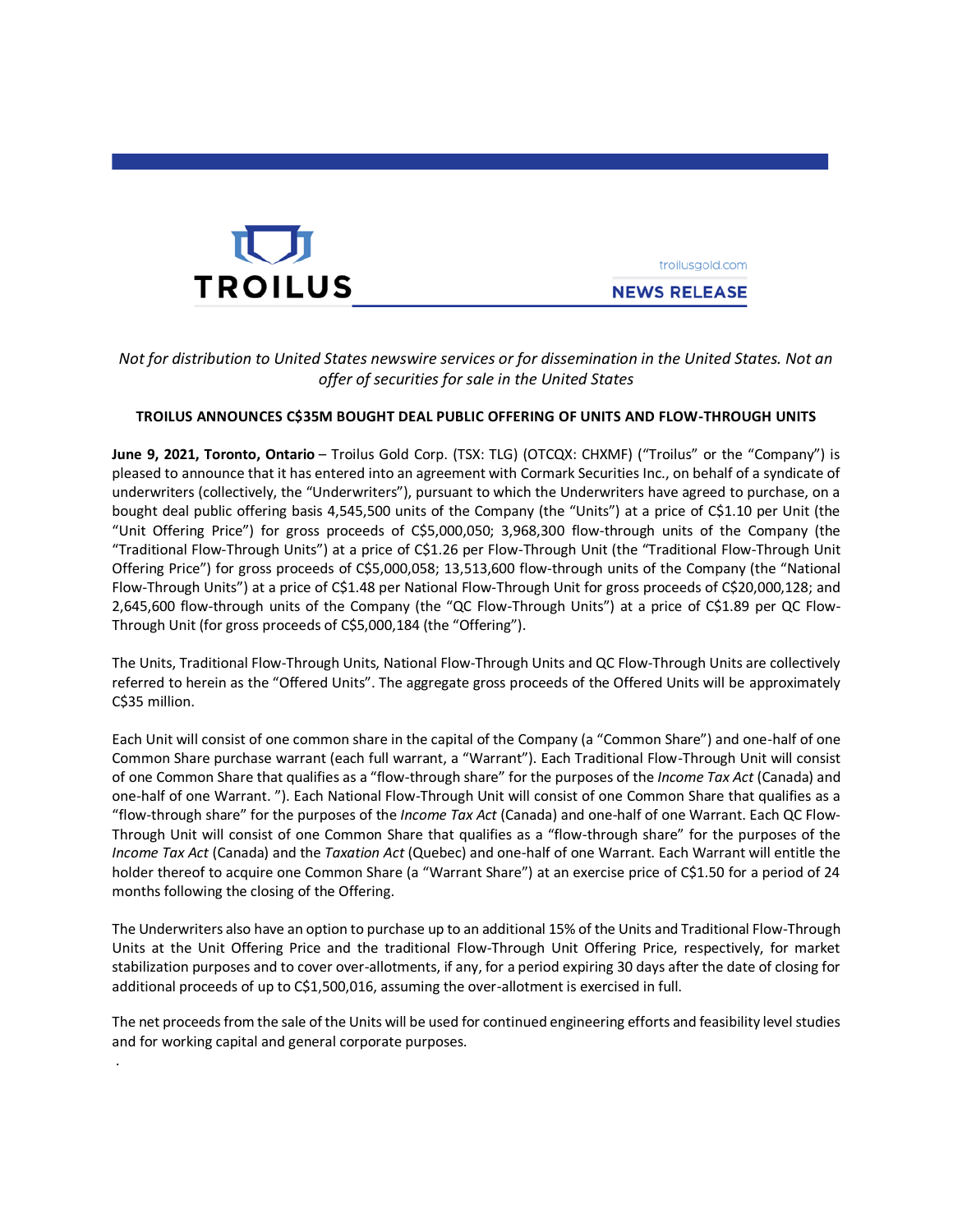

.

**NEWS RELEASE** 

troilusaold.com

# *Not for distribution to United States newswire services or for dissemination in the United States. Not an offer of securities for sale in the United States*

## **TROILUS ANNOUNCES C\$35M BOUGHT DEAL PUBLIC OFFERING OF UNITS AND FLOW-THROUGH UNITS**

**June 9, 2021, Toronto, Ontario** – Troilus Gold Corp. (TSX: TLG) (OTCQX: CHXMF) ("Troilus" or the "Company") is pleased to announce that it has entered into an agreement with Cormark Securities Inc., on behalf of a syndicate of underwriters (collectively, the "Underwriters"), pursuant to which the Underwriters have agreed to purchase, on a bought deal public offering basis 4,545,500 units of the Company (the "Units") at a price of C\$1.10 per Unit (the "Unit Offering Price") for gross proceeds of C\$5,000,050; 3,968,300 flow-through units of the Company (the "Traditional Flow-Through Units") at a price of C\$1.26 per Flow-Through Unit (the "Traditional Flow-Through Unit Offering Price") for gross proceeds of C\$5,000,058; 13,513,600 flow-through units of the Company (the "National Flow-Through Units") at a price of C\$1.48 per National Flow-Through Unit for gross proceeds of C\$20,000,128; and 2,645,600 flow-through units of the Company (the "QC Flow-Through Units") at a price of C\$1.89 per QC Flow-Through Unit (for gross proceeds of C\$5,000,184 (the "Offering").

The Units, Traditional Flow-Through Units, National Flow-Through Units and QC Flow-Through Units are collectively referred to herein as the "Offered Units". The aggregate gross proceeds of the Offered Units will be approximately C\$35 million.

Each Unit will consist of one common share in the capital of the Company (a "Common Share") and one-half of one Common Share purchase warrant (each full warrant, a "Warrant"). Each Traditional Flow-Through Unit will consist of one Common Share that qualifies as a "flow-through share" for the purposes of the *Income Tax Act* (Canada) and one-half of one Warrant. "). Each National Flow-Through Unit will consist of one Common Share that qualifies as a "flow-through share" for the purposes of the *Income Tax Act* (Canada) and one-half of one Warrant. Each QC Flow-Through Unit will consist of one Common Share that qualifies as a "flow-through share" for the purposes of the *Income Tax Act* (Canada) and the *Taxation Act* (Quebec) and one-half of one Warrant. Each Warrant will entitle the holder thereof to acquire one Common Share (a "Warrant Share") at an exercise price of C\$1.50 for a period of 24 months following the closing of the Offering.

The Underwriters also have an option to purchase up to an additional 15% of the Units and Traditional Flow-Through Units at the Unit Offering Price and the traditional Flow-Through Unit Offering Price, respectively, for market stabilization purposes and to cover over-allotments, if any, for a period expiring 30 days after the date of closing for additional proceeds of up to C\$1,500,016, assuming the over-allotment is exercised in full.

The net proceeds from the sale of the Units will be used for continued engineering efforts and feasibility level studies and for working capital and general corporate purposes.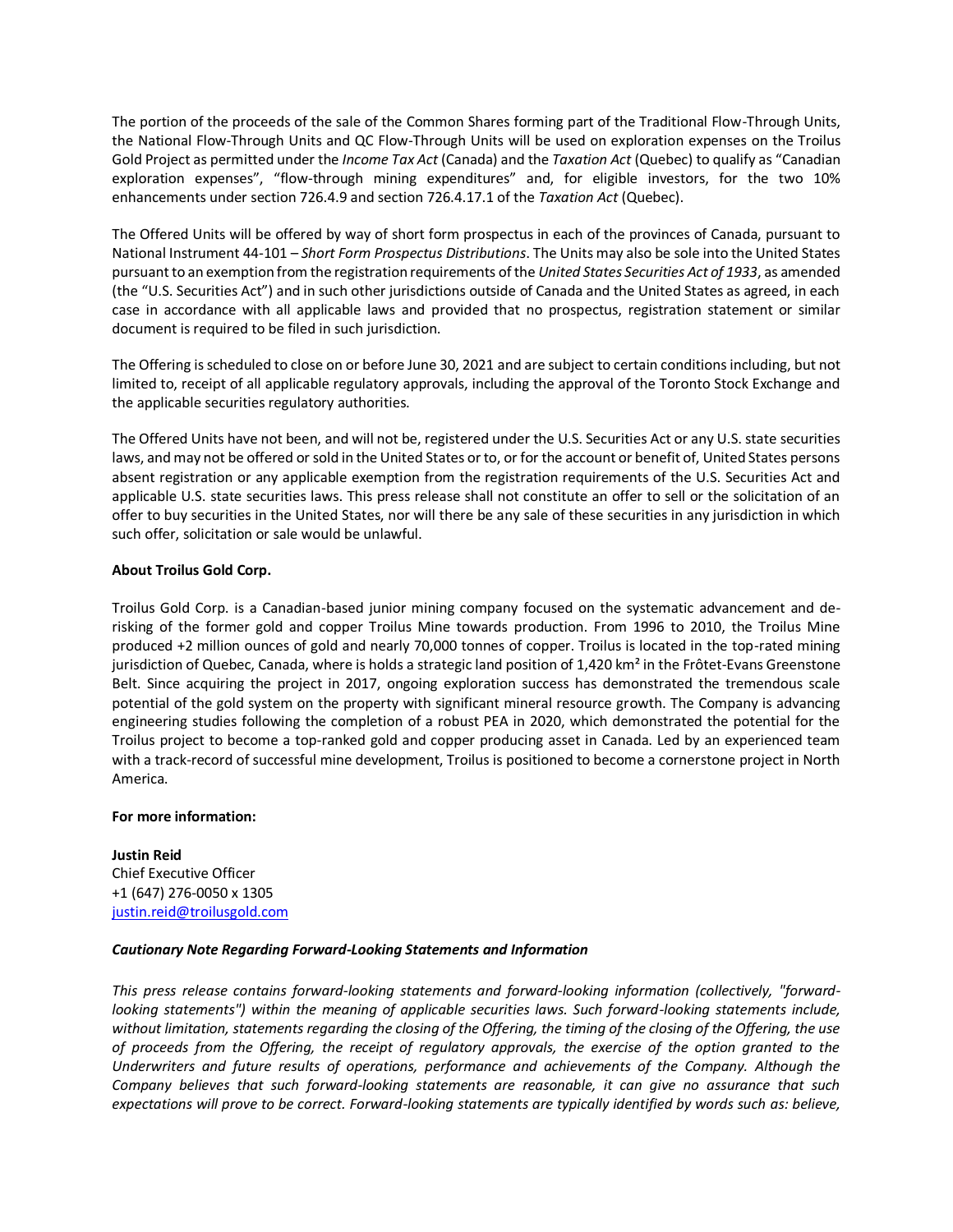The portion of the proceeds of the sale of the Common Shares forming part of the Traditional Flow-Through Units, the National Flow-Through Units and QC Flow-Through Units will be used on exploration expenses on the Troilus Gold Project as permitted under the *Income Tax Act* (Canada) and the *Taxation Act* (Quebec) to qualify as "Canadian exploration expenses", "flow-through mining expenditures" and, for eligible investors, for the two 10% enhancements under section 726.4.9 and section 726.4.17.1 of the *Taxation Act* (Quebec).

The Offered Units will be offered by way of short form prospectus in each of the provinces of Canada, pursuant to National Instrument 44-101 – *Short Form Prospectus Distributions*. The Units may also be sole into the United States pursuant to an exemption from the registration requirements of the *United States Securities Act of 1933*, as amended (the "U.S. Securities Act") and in such other jurisdictions outside of Canada and the United States as agreed, in each case in accordance with all applicable laws and provided that no prospectus, registration statement or similar document is required to be filed in such jurisdiction.

The Offering is scheduled to close on or before June 30, 2021 and are subject to certain conditions including, but not limited to, receipt of all applicable regulatory approvals, including the approval of the Toronto Stock Exchange and the applicable securities regulatory authorities.

The Offered Units have not been, and will not be, registered under the U.S. Securities Act or any U.S. state securities laws, and may not be offered or sold in the United States or to, or for the account or benefit of, United States persons absent registration or any applicable exemption from the registration requirements of the U.S. Securities Act and applicable U.S. state securities laws. This press release shall not constitute an offer to sell or the solicitation of an offer to buy securities in the United States, nor will there be any sale of these securities in any jurisdiction in which such offer, solicitation or sale would be unlawful.

## **About Troilus Gold Corp.**

Troilus Gold Corp. is a Canadian-based junior mining company focused on the systematic advancement and derisking of the former gold and copper Troilus Mine towards production. From 1996 to 2010, the Troilus Mine produced +2 million ounces of gold and nearly 70,000 tonnes of copper. Troilus is located in the top-rated mining jurisdiction of Quebec, Canada, where is holds a strategic land position of 1,420 km<sup>2</sup> in the Frôtet-Evans Greenstone Belt. Since acquiring the project in 2017, ongoing exploration success has demonstrated the tremendous scale potential of the gold system on the property with significant mineral resource growth. The Company is advancing engineering studies following the completion of a robust PEA in 2020, which demonstrated the potential for the Troilus project to become a top-ranked gold and copper producing asset in Canada. Led by an experienced team with a track-record of successful mine development, Troilus is positioned to become a cornerstone project in North America.

### **For more information:**

**Justin Reid** Chief Executive Officer +1 (647) 276-0050 x 1305 [justin.reid@troilusgold.com](mailto:justin.reid@troilusgold.com)

### *Cautionary Note Regarding Forward-Looking Statements and Information*

*This press release contains forward-looking statements and forward-looking information (collectively, "forwardlooking statements") within the meaning of applicable securities laws. Such forward-looking statements include, without limitation, statements regarding the closing of the Offering, the timing of the closing of the Offering, the use of proceeds from the Offering, the receipt of regulatory approvals, the exercise of the option granted to the Underwriters and future results of operations, performance and achievements of the Company. Although the Company believes that such forward-looking statements are reasonable, it can give no assurance that such expectations will prove to be correct. Forward-looking statements are typically identified by words such as: believe,*